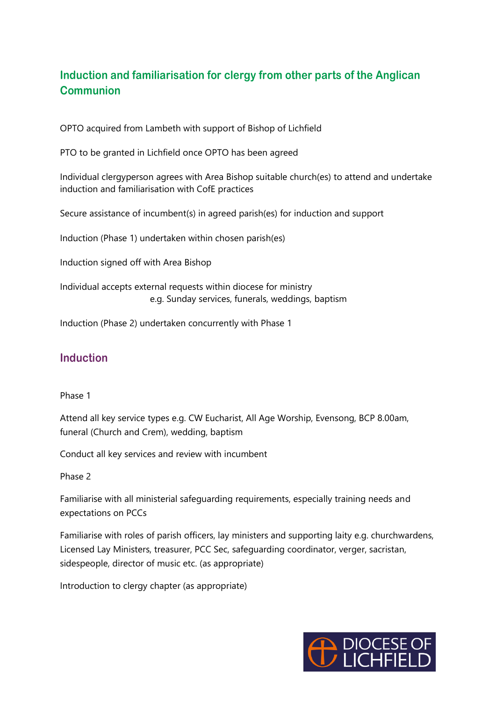## **Induction and familiarisation for clergy from other parts of the Anglican Communion**

OPTO acquired from Lambeth with support of Bishop of Lichfield

PTO to be granted in Lichfield once OPTO has been agreed

Individual clergyperson agrees with Area Bishop suitable church(es) to attend and undertake induction and familiarisation with CofE practices

Secure assistance of incumbent(s) in agreed parish(es) for induction and support

Induction (Phase 1) undertaken within chosen parish(es)

Induction signed off with Area Bishop

Individual accepts external requests within diocese for ministry e.g. Sunday services, funerals, weddings, baptism

Induction (Phase 2) undertaken concurrently with Phase 1

## **Induction**

## Phase 1

Attend all key service types e.g. CW Eucharist, All Age Worship, Evensong, BCP 8.00am, funeral (Church and Crem), wedding, baptism

Conduct all key services and review with incumbent

## Phase 2

Familiarise with all ministerial safeguarding requirements, especially training needs and expectations on PCCs

Familiarise with roles of parish officers, lay ministers and supporting laity e.g. churchwardens, Licensed Lay Ministers, treasurer, PCC Sec, safeguarding coordinator, verger, sacristan, sidespeople, director of music etc. (as appropriate)

Introduction to clergy chapter (as appropriate)